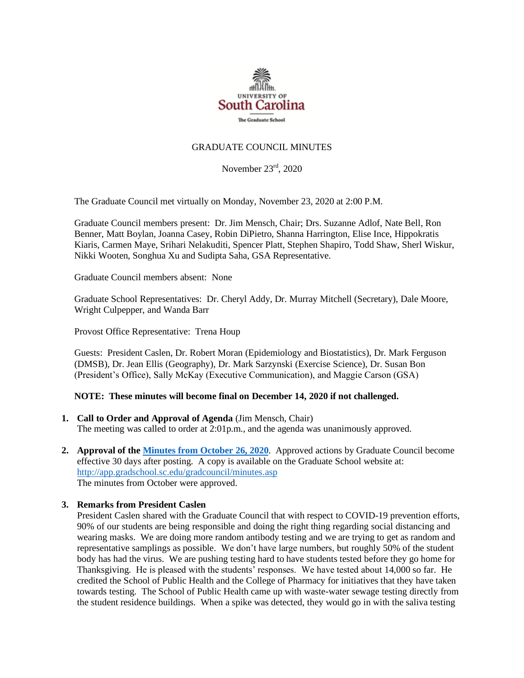

# GRADUATE COUNCIL MINUTES

November 23rd, 2020

The Graduate Council met virtually on Monday, November 23, 2020 at 2:00 P.M.

Graduate Council members present: Dr. Jim Mensch, Chair; Drs. Suzanne Adlof, Nate Bell, Ron Benner, Matt Boylan, Joanna Casey, Robin DiPietro, Shanna Harrington, Elise Ince, Hippokratis Kiaris, Carmen Maye, Srihari Nelakuditi, Spencer Platt, Stephen Shapiro, Todd Shaw, Sherl Wiskur, Nikki Wooten, Songhua Xu and Sudipta Saha, GSA Representative.

Graduate Council members absent: None

Graduate School Representatives: Dr. Cheryl Addy, Dr. Murray Mitchell (Secretary), Dale Moore, Wright Culpepper, and Wanda Barr

Provost Office Representative: Trena Houp

Guests: President Caslen, Dr. Robert Moran (Epidemiology and Biostatistics), Dr. Mark Ferguson (DMSB), Dr. Jean Ellis (Geography), Dr. Mark Sarzynski (Exercise Science), Dr. Susan Bon (President's Office), Sally McKay (Executive Communication), and Maggie Carson (GSA)

## **NOTE: These minutes will become final on December 14, 2020 if not challenged.**

**1. Call to Order and Approval of Agenda** (Jim Mensch, Chair)

The meeting was called to order at 2:01p.m., and the agenda was unanimously approved.

**2. Approval of th[e Minutes from October 26, 2020](file:///C:/Users/wandab/Local%20Documents/Graduate%20Council/GCMINUTES10.26.20.pdf)**. Approved actions by Graduate Council become effective 30 days after posting. A copy is available on the Graduate School website at: <http://app.gradschool.sc.edu/gradcouncil/minutes.asp> The minutes from October were approved.

## **3. Remarks from President Caslen**

President Caslen shared with the Graduate Council that with respect to COVID-19 prevention efforts, 90% of our students are being responsible and doing the right thing regarding social distancing and wearing masks. We are doing more random antibody testing and we are trying to get as random and representative samplings as possible. We don't have large numbers, but roughly 50% of the student body has had the virus. We are pushing testing hard to have students tested before they go home for Thanksgiving. He is pleased with the students' responses. We have tested about 14,000 so far. He credited the School of Public Health and the College of Pharmacy for initiatives that they have taken towards testing. The School of Public Health came up with waste-water sewage testing directly from the student residence buildings. When a spike was detected, they would go in with the saliva testing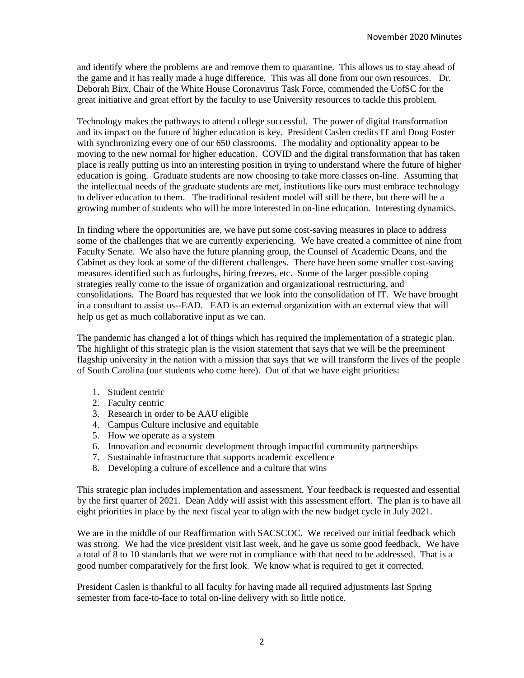and identify where the problems are and remove them to quarantine. This allows us to stay ahead of the game and it has really made a huge difference. This was all done from our own resources. Dr. Deborah Birx, Chair of the White House Coronavirus Task Force, commended the UofSC for the great initiative and great effort by the faculty to use University resources to tackle this problem.

Technology makes the pathways to attend college successful. The power of digital transformation and its impact on the future of higher education is key. President Caslen credits IT and Doug Foster with synchronizing every one of our 650 classrooms. The modality and optionality appear to be moving to the new normal for higher education. COVID and the digital transformation that has taken place is really putting us into an interesting position in trying to understand where the future of higher education is going. Graduate students are now choosing to take more classes on-line. Assuming that the intellectual needs of the graduate students are met, institutions like ours must embrace technology to deliver education to them. The traditional resident model will still be there, but there will be a growing number of students who will be more interested in on-line education. Interesting dynamics.

In finding where the opportunities are, we have put some cost-saving measures in place to address some of the challenges that we are currently experiencing. We have created a committee of nine from Faculty Senate. We also have the future planning group, the Counsel of Academic Deans, and the Cabinet as they look at some of the different challenges. There have been some smaller cost-saving measures identified such as furloughs, hiring freezes, etc. Some of the larger possible coping strategies really come to the issue of organization and organizational restructuring, and consolidations. The Board has requested that we look into the consolidation of IT. We have brought in a consultant to assist us--EAD. EAD is an external organization with an external view that will help us get as much collaborative input as we can.

The pandemic has changed a lot of things which has required the implementation of a strategic plan. The highlight of this strategic plan is the vision statement that says that we will be the preeminent flagship university in the nation with a mission that says that we will transform the lives of the people of South Carolina (our students who come here). Out of that we have eight priorities:

- 1. Student centric
- 2. Faculty centric
- 3. Research in order to be AAU eligible
- 4. Campus Culture inclusive and equitable
- 5. How we operate as a system
- 6. Innovation and economic development through impactful community partnerships
- 7. Sustainable infrastructure that supports academic excellence
- 8. Developing a culture of excellence and a culture that wins

This strategic plan includes implementation and assessment. Your feedback is requested and essential by the first quarter of 2021. Dean Addy will assist with this assessment effort. The plan is to have all eight priorities in place by the next fiscal year to align with the new budget cycle in July 2021.

We are in the middle of our Reaffirmation with SACSCOC. We received our initial feedback which was strong. We had the vice president visit last week, and he gave us some good feedback. We have a total of 8 to 10 standards that we were not in compliance with that need to be addressed. That is a good number comparatively for the first look. We know what is required to get it corrected.

President Caslen is thankful to all faculty for having made all required adjustments last Spring semester from face-to-face to total on-line delivery with so little notice.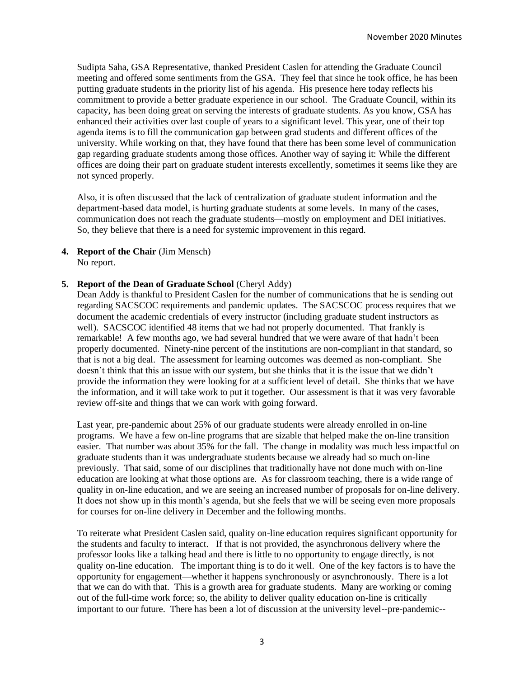Sudipta Saha, GSA Representative, thanked President Caslen for attending the Graduate Council meeting and offered some sentiments from the GSA. They feel that since he took office, he has been putting graduate students in the priority list of his agenda. His presence here today reflects his commitment to provide a better graduate experience in our school. The Graduate Council, within its capacity, has been doing great on serving the interests of graduate students. As you know, GSA has enhanced their activities over last couple of years to a significant level. This year, one of their top agenda items is to fill the communication gap between grad students and different offices of the university. While working on that, they have found that there has been some level of communication gap regarding graduate students among those offices. Another way of saying it: While the different offices are doing their part on graduate student interests excellently, sometimes it seems like they are not synced properly.

Also, it is often discussed that the lack of centralization of graduate student information and the department-based data model, is hurting graduate students at some levels. In many of the cases, communication does not reach the graduate students—mostly on employment and DEI initiatives. So, they believe that there is a need for systemic improvement in this regard.

**4. Report of the Chair** (Jim Mensch) No report.

#### **5. Report of the Dean of Graduate School** (Cheryl Addy)

Dean Addy is thankful to President Caslen for the number of communications that he is sending out regarding SACSCOC requirements and pandemic updates. The SACSCOC process requires that we document the academic credentials of every instructor (including graduate student instructors as well). SACSCOC identified 48 items that we had not properly documented. That frankly is remarkable! A few months ago, we had several hundred that we were aware of that hadn't been properly documented. Ninety-nine percent of the institutions are non-compliant in that standard, so that is not a big deal. The assessment for learning outcomes was deemed as non-compliant. She doesn't think that this an issue with our system, but she thinks that it is the issue that we didn't provide the information they were looking for at a sufficient level of detail. She thinks that we have the information, and it will take work to put it together. Our assessment is that it was very favorable review off-site and things that we can work with going forward.

Last year, pre-pandemic about 25% of our graduate students were already enrolled in on-line programs. We have a few on-line programs that are sizable that helped make the on-line transition easier. That number was about 35% for the fall. The change in modality was much less impactful on graduate students than it was undergraduate students because we already had so much on-line previously. That said, some of our disciplines that traditionally have not done much with on-line education are looking at what those options are. As for classroom teaching, there is a wide range of quality in on-line education, and we are seeing an increased number of proposals for on-line delivery. It does not show up in this month's agenda, but she feels that we will be seeing even more proposals for courses for on-line delivery in December and the following months.

To reiterate what President Caslen said, quality on-line education requires significant opportunity for the students and faculty to interact. If that is not provided, the asynchronous delivery where the professor looks like a talking head and there is little to no opportunity to engage directly, is not quality on-line education. The important thing is to do it well. One of the key factors is to have the opportunity for engagement—whether it happens synchronously or asynchronously. There is a lot that we can do with that. This is a growth area for graduate students. Many are working or coming out of the full-time work force; so, the ability to deliver quality education on-line is critically important to our future. There has been a lot of discussion at the university level--pre-pandemic--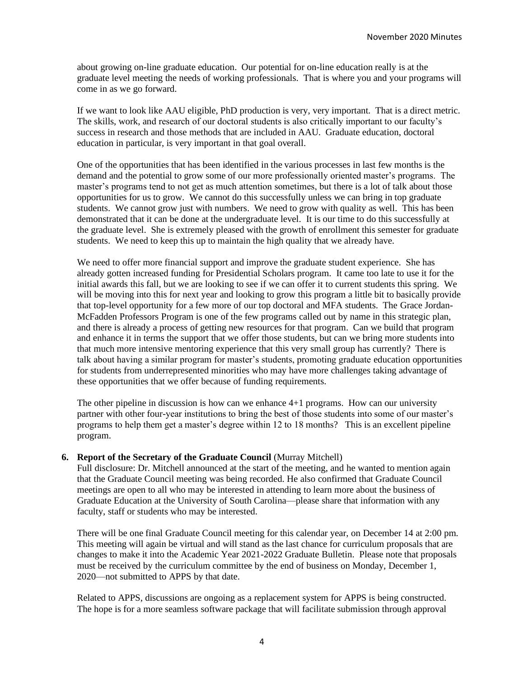about growing on-line graduate education. Our potential for on-line education really is at the graduate level meeting the needs of working professionals. That is where you and your programs will come in as we go forward.

If we want to look like AAU eligible, PhD production is very, very important. That is a direct metric. The skills, work, and research of our doctoral students is also critically important to our faculty's success in research and those methods that are included in AAU. Graduate education, doctoral education in particular, is very important in that goal overall.

One of the opportunities that has been identified in the various processes in last few months is the demand and the potential to grow some of our more professionally oriented master's programs. The master's programs tend to not get as much attention sometimes, but there is a lot of talk about those opportunities for us to grow. We cannot do this successfully unless we can bring in top graduate students. We cannot grow just with numbers. We need to grow with quality as well. This has been demonstrated that it can be done at the undergraduate level. It is our time to do this successfully at the graduate level. She is extremely pleased with the growth of enrollment this semester for graduate students. We need to keep this up to maintain the high quality that we already have.

We need to offer more financial support and improve the graduate student experience. She has already gotten increased funding for Presidential Scholars program. It came too late to use it for the initial awards this fall, but we are looking to see if we can offer it to current students this spring. We will be moving into this for next year and looking to grow this program a little bit to basically provide that top-level opportunity for a few more of our top doctoral and MFA students. The Grace Jordan-McFadden Professors Program is one of the few programs called out by name in this strategic plan, and there is already a process of getting new resources for that program. Can we build that program and enhance it in terms the support that we offer those students, but can we bring more students into that much more intensive mentoring experience that this very small group has currently? There is talk about having a similar program for master's students, promoting graduate education opportunities for students from underrepresented minorities who may have more challenges taking advantage of these opportunities that we offer because of funding requirements.

The other pipeline in discussion is how can we enhance 4+1 programs. How can our university partner with other four-year institutions to bring the best of those students into some of our master's programs to help them get a master's degree within 12 to 18 months? This is an excellent pipeline program.

## **6. Report of the Secretary of the Graduate Council** (Murray Mitchell)

Full disclosure: Dr. Mitchell announced at the start of the meeting, and he wanted to mention again that the Graduate Council meeting was being recorded. He also confirmed that Graduate Council meetings are open to all who may be interested in attending to learn more about the business of Graduate Education at the University of South Carolina—please share that information with any faculty, staff or students who may be interested.

There will be one final Graduate Council meeting for this calendar year, on December 14 at 2:00 pm. This meeting will again be virtual and will stand as the last chance for curriculum proposals that are changes to make it into the Academic Year 2021-2022 Graduate Bulletin. Please note that proposals must be received by the curriculum committee by the end of business on Monday, December 1, 2020—not submitted to APPS by that date.

Related to APPS, discussions are ongoing as a replacement system for APPS is being constructed. The hope is for a more seamless software package that will facilitate submission through approval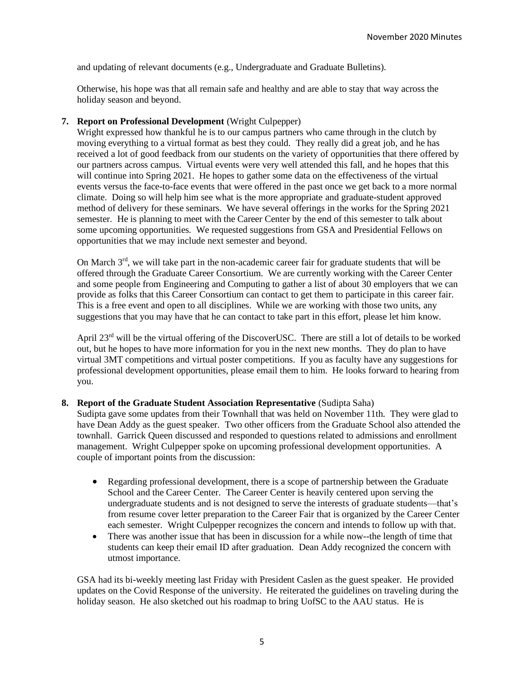and updating of relevant documents (e.g., Undergraduate and Graduate Bulletins).

Otherwise, his hope was that all remain safe and healthy and are able to stay that way across the holiday season and beyond.

### **7. Report on Professional Development** (Wright Culpepper)

Wright expressed how thankful he is to our campus partners who came through in the clutch by moving everything to a virtual format as best they could. They really did a great job, and he has received a lot of good feedback from our students on the variety of opportunities that there offered by our partners across campus. Virtual events were very well attended this fall, and he hopes that this will continue into Spring 2021. He hopes to gather some data on the effectiveness of the virtual events versus the face-to-face events that were offered in the past once we get back to a more normal climate. Doing so will help him see what is the more appropriate and graduate-student approved method of delivery for these seminars. We have several offerings in the works for the Spring 2021 semester. He is planning to meet with the Career Center by the end of this semester to talk about some upcoming opportunities. We requested suggestions from GSA and Presidential Fellows on opportunities that we may include next semester and beyond.

On March  $3<sup>rd</sup>$ , we will take part in the non-academic career fair for graduate students that will be offered through the Graduate Career Consortium. We are currently working with the Career Center and some people from Engineering and Computing to gather a list of about 30 employers that we can provide as folks that this Career Consortium can contact to get them to participate in this career fair. This is a free event and open to all disciplines. While we are working with those two units, any suggestions that you may have that he can contact to take part in this effort, please let him know.

April  $23<sup>rd</sup>$  will be the virtual offering of the DiscoverUSC. There are still a lot of details to be worked out, but he hopes to have more information for you in the next new months. They do plan to have virtual 3MT competitions and virtual poster competitions. If you as faculty have any suggestions for professional development opportunities, please email them to him. He looks forward to hearing from you.

#### **8. Report of the Graduate Student Association Representative** (Sudipta Saha)

Sudipta gave some updates from their Townhall that was held on November 11th. They were glad to have Dean Addy as the guest speaker. Two other officers from the Graduate School also attended the townhall. Garrick Queen discussed and responded to questions related to admissions and enrollment management. Wright Culpepper spoke on upcoming professional development opportunities. A couple of important points from the discussion:

- Regarding professional development, there is a scope of partnership between the Graduate School and the Career Center. The Career Center is heavily centered upon serving the undergraduate students and is not designed to serve the interests of graduate students—that's from resume cover letter preparation to the Career Fair that is organized by the Career Center each semester. Wright Culpepper recognizes the concern and intends to follow up with that.
- There was another issue that has been in discussion for a while now--the length of time that students can keep their email ID after graduation. Dean Addy recognized the concern with utmost importance.

GSA had its bi-weekly meeting last Friday with President Caslen as the guest speaker. He provided updates on the Covid Response of the university. He reiterated the guidelines on traveling during the holiday season. He also sketched out his roadmap to bring UofSC to the AAU status. He is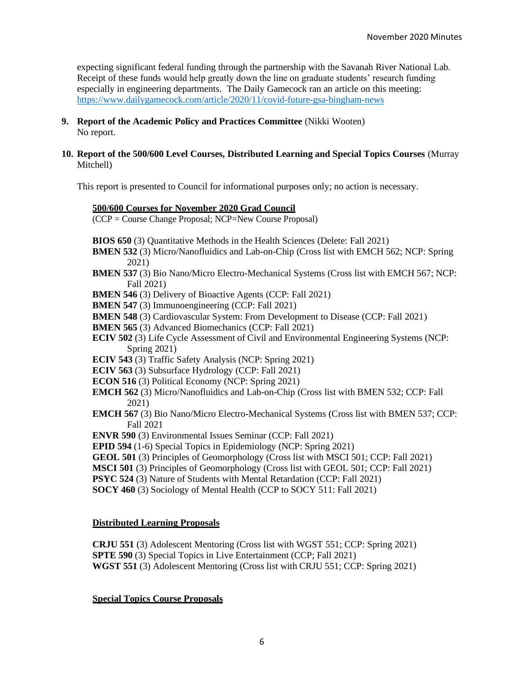expecting significant federal funding through the partnership with the Savanah River National Lab. Receipt of these funds would help greatly down the line on graduate students' research funding especially in engineering departments. The Daily Gamecock ran an article on this meeting: <https://www.dailygamecock.com/article/2020/11/covid-future-gsa-bingham-news>

- **9. Report of the Academic Policy and Practices Committee** (Nikki Wooten) No report.
- **10. Report of the 500/600 Level Courses, Distributed Learning and Special Topics Courses** (Murray Mitchell)

This report is presented to Council for informational purposes only; no action is necessary.

#### **500/600 Courses for November 2020 Grad Council**

(CCP = Course Change Proposal; NCP=New Course Proposal)

- **BIOS 650** (3) Quantitative Methods in the Health Sciences (Delete: Fall 2021)
- **BMEN 532** (3) Micro/Nanofluidics and Lab-on-Chip (Cross list with EMCH 562; NCP: Spring 2021)
- **BMEN 537** (3) Bio Nano/Micro Electro-Mechanical Systems (Cross list with EMCH 567; NCP: Fall 2021)
- **BMEN 546** (3) Delivery of Bioactive Agents (CCP: Fall 2021)
- **BMEN 547** (3) Immunoengineering (CCP: Fall 2021)
- **BMEN 548** (3) Cardiovascular System: From Development to Disease (CCP: Fall 2021)
- **BMEN 565** (3) Advanced Biomechanics (CCP: Fall 2021)
- **ECIV 502** (3) Life Cycle Assessment of Civil and Environmental Engineering Systems (NCP: Spring 2021)
- **ECIV 543** (3) Traffic Safety Analysis (NCP: Spring 2021)

**ECIV 563** (3) Subsurface Hydrology (CCP: Fall 2021)

- **ECON 516** (3) Political Economy (NCP: Spring 2021)
- **EMCH 562** (3) Micro/Nanofluidics and Lab-on-Chip (Cross list with BMEN 532; CCP: Fall 2021)
- **EMCH 567** (3) Bio Nano/Micro Electro-Mechanical Systems (Cross list with BMEN 537; CCP: Fall 2021
- **ENVR 590** (3) Environmental Issues Seminar (CCP: Fall 2021)
- **EPID 594** (1-6) Special Topics in Epidemiology (NCP: Spring 2021)
- **GEOL 501** (3) Principles of Geomorphology (Cross list with MSCI 501; CCP: Fall 2021)
- **MSCI 501** (3) Principles of Geomorphology (Cross list with GEOL 501; CCP: Fall 2021)
- **PSYC 524** (3) Nature of Students with Mental Retardation (CCP: Fall 2021)
- **SOCY 460** (3) Sociology of Mental Health (CCP to SOCY 511: Fall 2021)

#### **Distributed Learning Proposals**

**CRJU 551** (3) Adolescent Mentoring (Cross list with WGST 551; CCP: Spring 2021) **SPTE 590** (3) Special Topics in Live Entertainment (CCP; Fall 2021) **WGST 551** (3) Adolescent Mentoring (Cross list with CRJU 551; CCP: Spring 2021)

**Special Topics Course Proposals**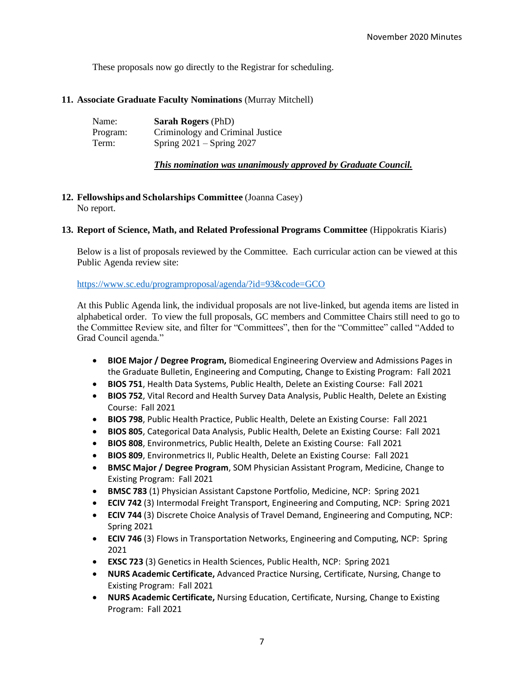These proposals now go directly to the Registrar for scheduling.

### **11. Associate Graduate Faculty Nominations** (Murray Mitchell)

| Name:    | <b>Sarah Rogers</b> (PhD)        |
|----------|----------------------------------|
| Program: | Criminology and Criminal Justice |
| Term:    | Spring $2021 -$ Spring 2027      |

### *This nomination was unanimously approved by Graduate Council.*

### **12. Fellowships and Scholarships Committee** (Joanna Casey) No report.

#### **13. Report of Science, Math, and Related Professional Programs Committee** (Hippokratis Kiaris)

Below is a list of proposals reviewed by the Committee. Each curricular action can be viewed at this Public Agenda review site:

## <https://www.sc.edu/programproposal/agenda/?id=93&code=GCO>

At this Public Agenda link, the individual proposals are not live-linked, but agenda items are listed in alphabetical order. To view the full proposals, GC members and Committee Chairs still need to go to the Committee Review site, and filter for "Committees", then for the "Committee" called "Added to Grad Council agenda."

- **BIOE Major / Degree Program,** Biomedical Engineering Overview and Admissions Pages in the Graduate Bulletin, Engineering and Computing, Change to Existing Program: Fall 2021
- **BIOS 751**, Health Data Systems, Public Health, Delete an Existing Course: Fall 2021
- **BIOS 752**, Vital Record and Health Survey Data Analysis, Public Health, Delete an Existing Course: Fall 2021
- **BIOS 798**, Public Health Practice, Public Health, Delete an Existing Course: Fall 2021
- **BIOS 805**, Categorical Data Analysis, Public Health, Delete an Existing Course: Fall 2021
- **BIOS 808**, Environmetrics, Public Health, Delete an Existing Course: Fall 2021
- **BIOS 809**, Environmetrics II, Public Health, Delete an Existing Course: Fall 2021
- **BMSC Major / Degree Program**, SOM Physician Assistant Program, Medicine, Change to Existing Program: Fall 2021
- **BMSC 783** (1) Physician Assistant Capstone Portfolio, Medicine, NCP: Spring 2021
- **ECIV 742** (3) Intermodal Freight Transport, Engineering and Computing, NCP: Spring 2021
- **ECIV 744** (3) Discrete Choice Analysis of Travel Demand, Engineering and Computing, NCP: Spring 2021
- **ECIV 746** (3) Flows in Transportation Networks, Engineering and Computing, NCP: Spring 2021
- **EXSC 723** (3) Genetics in Health Sciences, Public Health, NCP: Spring 2021
- **NURS Academic Certificate,** Advanced Practice Nursing, Certificate, Nursing, Change to Existing Program: Fall 2021
- **NURS Academic Certificate,** Nursing Education, Certificate, Nursing, Change to Existing Program: Fall 2021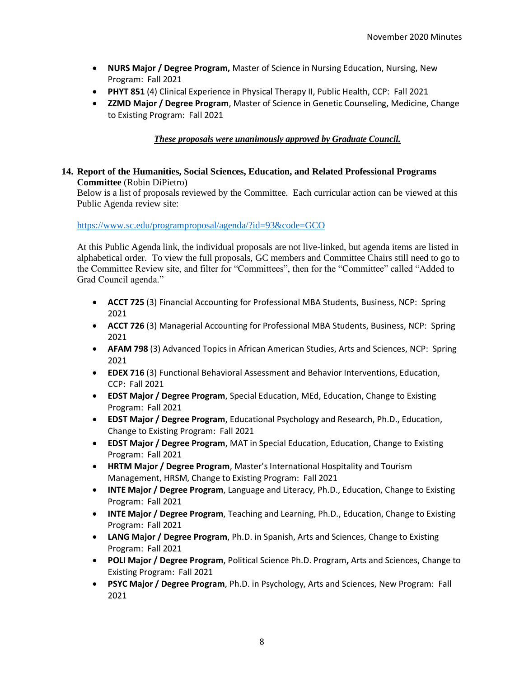- **NURS Major / Degree Program,** Master of Science in Nursing Education, Nursing, New Program: Fall 2021
- **PHYT 851** (4) Clinical Experience in Physical Therapy II, Public Health, CCP: Fall 2021
- **ZZMD Major / Degree Program**, Master of Science in Genetic Counseling, Medicine, Change to Existing Program: Fall 2021

# *These proposals were unanimously approved by Graduate Council.*

# **14. Report of the Humanities, Social Sciences, Education, and Related Professional Programs Committee** (Robin DiPietro)

Below is a list of proposals reviewed by the Committee. Each curricular action can be viewed at this Public Agenda review site:

<https://www.sc.edu/programproposal/agenda/?id=93&code=GCO>

At this Public Agenda link, the individual proposals are not live-linked, but agenda items are listed in alphabetical order. To view the full proposals, GC members and Committee Chairs still need to go to the Committee Review site, and filter for "Committees", then for the "Committee" called "Added to Grad Council agenda."

- **ACCT 725** (3) Financial Accounting for Professional MBA Students, Business, NCP: Spring 2021
- **ACCT 726** (3) Managerial Accounting for Professional MBA Students, Business, NCP: Spring 2021
- **AFAM 798** (3) Advanced Topics in African American Studies, Arts and Sciences, NCP: Spring 2021
- **EDEX 716** (3) Functional Behavioral Assessment and Behavior Interventions, Education, CCP: Fall 2021
- **EDST Major / Degree Program**, Special Education, MEd, Education, Change to Existing Program: Fall 2021
- **EDST Major / Degree Program**, Educational Psychology and Research, Ph.D., Education, Change to Existing Program: Fall 2021
- **EDST Major / Degree Program**, MAT in Special Education, Education, Change to Existing Program: Fall 2021
- **HRTM Major / Degree Program**, Master's International Hospitality and Tourism Management, HRSM, Change to Existing Program: Fall 2021
- **INTE Major / Degree Program**, Language and Literacy, Ph.D., Education, Change to Existing Program: Fall 2021
- **INTE Major / Degree Program**, Teaching and Learning, Ph.D., Education, Change to Existing Program: Fall 2021
- **LANG Major / Degree Program**, Ph.D. in Spanish, Arts and Sciences, Change to Existing Program: Fall 2021
- **POLI Major / Degree Program**, Political Science Ph.D. Program**,** Arts and Sciences, Change to Existing Program: Fall 2021
- **PSYC Major / Degree Program**, Ph.D. in Psychology, Arts and Sciences, New Program: Fall 2021